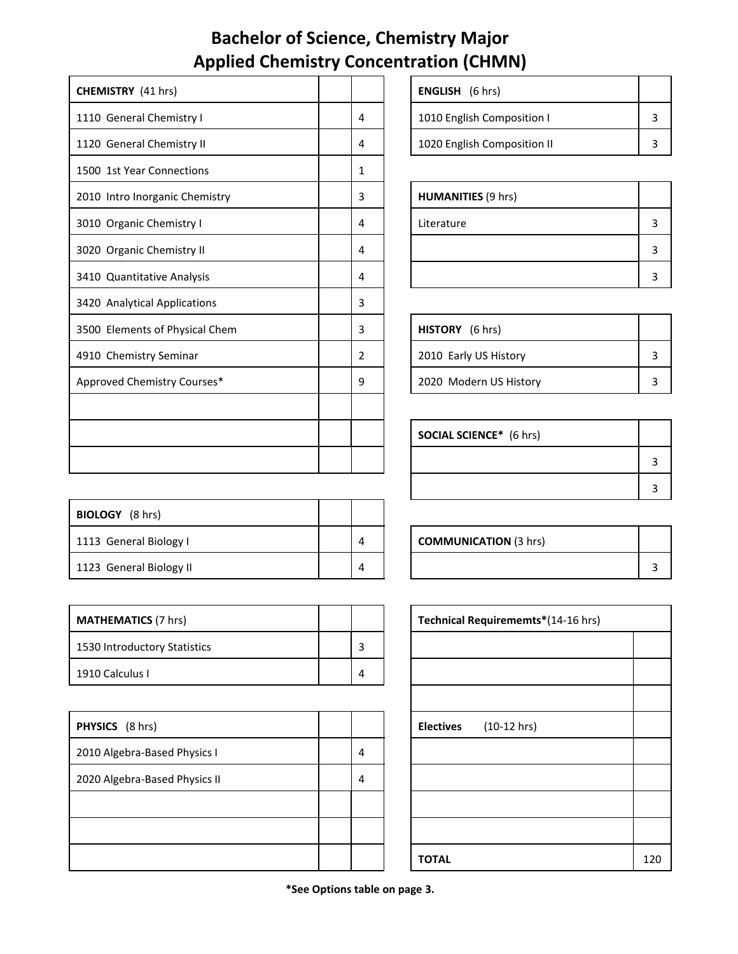## **Bachelor of Science, Chemistry Major Applied Chemistry Concentration (CHMN)**

| <b>CHEMISTRY</b> (41 hrs)      |   | <b>ENGLISH</b> (6 hrs)         |   |
|--------------------------------|---|--------------------------------|---|
| 1110 General Chemistry I       | 4 | 1010 English Composition I     | 3 |
| 1120 General Chemistry II      | 4 | 1020 English Composition II    | 3 |
| 1500 1st Year Connections      | 1 |                                |   |
| 2010 Intro Inorganic Chemistry | 3 | <b>HUMANITIES (9 hrs)</b>      |   |
| 3010 Organic Chemistry I       | 4 | Literature                     | 3 |
| 3020 Organic Chemistry II      | 4 |                                | 3 |
| 3410 Quantitative Analysis     | 4 |                                | 3 |
| 3420 Analytical Applications   | 3 |                                |   |
| 3500 Elements of Physical Chem | 3 | HISTORY (6 hrs)                |   |
| 4910 Chemistry Seminar         | 2 | 2010 Early US History          | 3 |
| Approved Chemistry Courses*    | 9 | 2020 Modern US History         | 3 |
|                                |   |                                |   |
|                                |   | <b>SOCIAL SCIENCE*</b> (6 hrs) |   |
|                                |   |                                | 3 |

| <b>BIOLOGY</b> (8 hrs)  |   |                              |  |
|-------------------------|---|------------------------------|--|
| 1113 General Biology I  | 4 | <b>COMMUNICATION (3 hrs)</b> |  |
| 1123 General Biology II |   |                              |  |

| <b>MATHEMATICS</b> (7 hrs)   |   | Technical Requirememts*(14-16 hrs) |
|------------------------------|---|------------------------------------|
| 1530 Introductory Statistics |   |                                    |
| 1910 Calculus I              | 4 |                                    |

| PHYSICS (8 hrs)               |   | <b>Electives</b> | $(10-12$ hrs) |
|-------------------------------|---|------------------|---------------|
| 2010 Algebra-Based Physics I  | 4 |                  |               |
| 2020 Algebra-Based Physics II | 4 |                  |               |
|                               |   |                  |               |
|                               |   |                  |               |
|                               |   | <b>TOTAL</b>     |               |

| <b>ENGLISH</b> (6 hrs)      |  |
|-----------------------------|--|
| 1010 English Composition I  |  |
| 1020 English Composition II |  |

| <b>HUMANITIES (9 hrs)</b> |  |
|---------------------------|--|
| Literature                |  |
|                           |  |
|                           |  |

| <b>HISTORY</b> (6 hrs) |  |
|------------------------|--|
| 2010 Early US History  |  |
| 2020 Modern US History |  |

| <b>SOCIAL SCIENCE*</b> (6 hrs) |  |
|--------------------------------|--|
|                                |  |
|                                |  |

| <b>COMMUNICATION (3 hrs)</b> |  |
|------------------------------|--|
|                              |  |

| Technical Requirememts*(14-16 hrs) |  |     |
|------------------------------------|--|-----|
|                                    |  |     |
|                                    |  |     |
|                                    |  |     |
| Electives (10-12 hrs)              |  |     |
|                                    |  |     |
|                                    |  |     |
|                                    |  |     |
|                                    |  |     |
| <b>TOTAL</b>                       |  | 120 |

**\*See Options table on page 3.**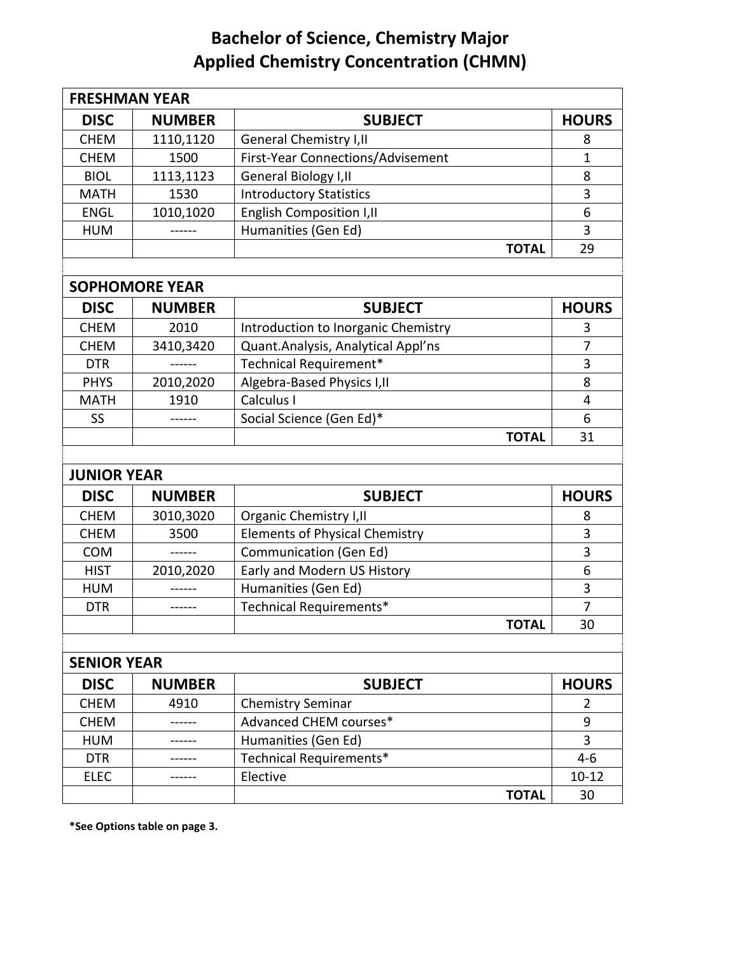## **Bachelor of Science, Chemistry Major Applied Chemistry Concentration (CHMN)**

| <b>FRESHMAN YEAR</b> |                       |                                       |              |
|----------------------|-----------------------|---------------------------------------|--------------|
| <b>DISC</b>          | <b>NUMBER</b>         | <b>SUBJECT</b>                        | <b>HOURS</b> |
| <b>CHEM</b>          | 1110,1120             | <b>General Chemistry I, II</b>        | 8            |
| <b>CHEM</b>          | 1500                  | First-Year Connections/Advisement     | 1            |
| <b>BIOL</b>          | 1113,1123             | General Biology I, II                 | 8            |
| <b>MATH</b>          | 1530                  | <b>Introductory Statistics</b>        | 3            |
| <b>ENGL</b>          | 1010,1020             | <b>English Composition I, II</b>      | 6            |
| <b>HUM</b>           | -------               | Humanities (Gen Ed)                   | 3            |
|                      |                       | <b>TOTAL</b>                          | 29           |
|                      |                       |                                       |              |
|                      | <b>SOPHOMORE YEAR</b> |                                       |              |
| <b>DISC</b>          | <b>NUMBER</b>         | <b>SUBJECT</b>                        | <b>HOURS</b> |
| <b>CHEM</b>          | 2010                  | Introduction to Inorganic Chemistry   | 3            |
| <b>CHEM</b>          | 3410,3420             | Quant.Analysis, Analytical Appl'ns    | 7            |
| <b>DTR</b>           |                       | Technical Requirement*                | 3            |
| <b>PHYS</b>          | 2010,2020             | Algebra-Based Physics I, II           | 8            |
| <b>MATH</b>          | 1910                  | Calculus I                            | 4            |
| SS                   | -------               | Social Science (Gen Ed)*              | 6            |
|                      |                       | <b>TOTAL</b>                          | 31           |
|                      |                       |                                       |              |
| <b>JUNIOR YEAR</b>   |                       |                                       |              |
| <b>DISC</b>          | <b>NUMBER</b>         | <b>SUBJECT</b>                        | <b>HOURS</b> |
| <b>CHEM</b>          | 3010,3020             | <b>Organic Chemistry I, II</b>        | 8            |
| <b>CHEM</b>          | 3500                  | <b>Elements of Physical Chemistry</b> | 3            |
| <b>COM</b>           |                       | <b>Communication (Gen Ed)</b>         | 3            |
| <b>HIST</b>          | 2010,2020             | Early and Modern US History           | 6            |
| <b>HUM</b>           |                       | Humanities (Gen Ed)                   | 3            |
| <b>DTR</b>           |                       | Technical Requirements*               | 7            |
|                      |                       | <b>TOTAL</b>                          | 30           |
|                      |                       |                                       |              |
| <b>SENIOR YEAR</b>   |                       |                                       |              |
| <b>DISC</b>          | <b>NUMBER</b>         | <b>SUBJECT</b>                        | <b>HOURS</b> |
| <b>CHEM</b>          | 4910                  | <b>Chemistry Seminar</b>              | 2            |
| <b>CHEM</b>          |                       | Advanced CHEM courses*                | 9            |
| <b>HUM</b>           |                       | Humanities (Gen Ed)                   | 3            |
| <b>DTR</b>           |                       | Technical Requirements*               | $4 - 6$      |
| <b>ELEC</b>          |                       | Elective                              | $10 - 12$    |
|                      |                       | <b>TOTAL</b>                          | 30           |

**\*See Options table on page 3.**